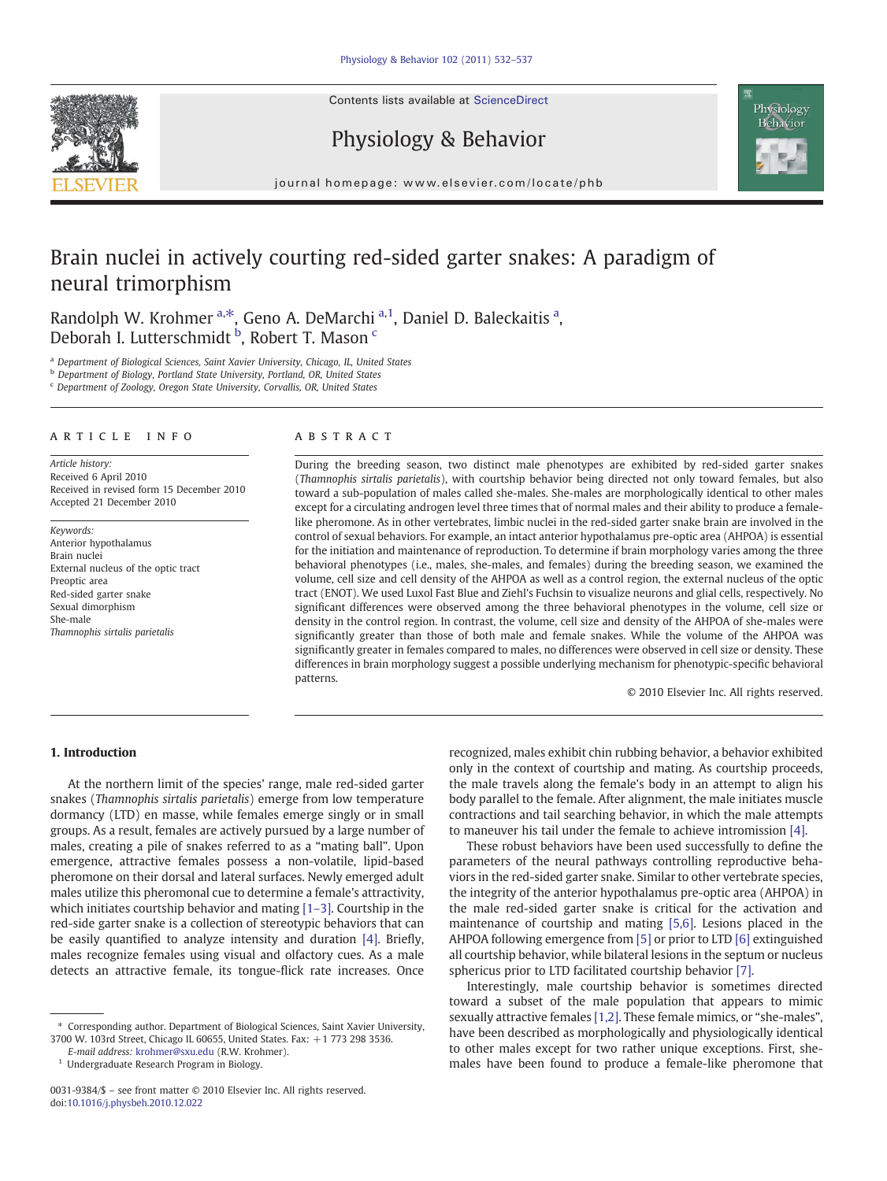Contents lists available at ScienceDirect







journal homepage: www.elsevier.com/locate/phb

# Brain nuclei in actively courting red-sided garter snakes: A paradigm of neural trimorphism

Randolph W. Krohmer <sup>a,\*</sup>, Geno A. DeMarchi <sup>a,1</sup>, Daniel D. Baleckaitis <sup>a</sup>, Deborah I. Lutterschmidt <sup>b</sup>, Robert T. Mason <sup>c</sup>

<sup>a</sup> Department of Biological Sciences, Saint Xavier University, Chicago, IL, United States

**b** Department of Biology, Portland State University, Portland, OR, United States

<sup>c</sup> Department of Zoology, Oregon State University, Corvallis, OR, United States

### article info abstract

Article history: Received 6 April 2010 Received in revised form 15 December 2010 Accepted 21 December 2010

Keywords: Anterior hypothalamus Brain nuclei External nucleus of the optic tract Preoptic area Red-sided garter snake Sexual dimorphism She-male Thamnophis sirtalis parietalis

During the breeding season, two distinct male phenotypes are exhibited by red-sided garter snakes (Thamnophis sirtalis parietalis), with courtship behavior being directed not only toward females, but also toward a sub-population of males called she-males. She-males are morphologically identical to other males except for a circulating androgen level three times that of normal males and their ability to produce a femalelike pheromone. As in other vertebrates, limbic nuclei in the red-sided garter snake brain are involved in the control of sexual behaviors. For example, an intact anterior hypothalamus pre-optic area (AHPOA) is essential for the initiation and maintenance of reproduction. To determine if brain morphology varies among the three behavioral phenotypes (i.e., males, she-males, and females) during the breeding season, we examined the volume, cell size and cell density of the AHPOA as well as a control region, the external nucleus of the optic tract (ENOT). We used Luxol Fast Blue and Ziehl's Fuchsin to visualize neurons and glial cells, respectively. No significant differences were observed among the three behavioral phenotypes in the volume, cell size or density in the control region. In contrast, the volume, cell size and density of the AHPOA of she-males were significantly greater than those of both male and female snakes. While the volume of the AHPOA was significantly greater in females compared to males, no differences were observed in cell size or density. These differences in brain morphology suggest a possible underlying mechanism for phenotypic-specific behavioral patterns.

© 2010 Elsevier Inc. All rights reserved.

## 1. Introduction

At the northern limit of the species' range, male red-sided garter snakes (Thamnophis sirtalis parietalis) emerge from low temperature dormancy (LTD) en masse, while females emerge singly or in small groups. As a result, females are actively pursued by a large number of males, creating a pile of snakes referred to as a "mating ball". Upon emergence, attractive females possess a non-volatile, lipid-based pheromone on their dorsal and lateral surfaces. Newly emerged adult males utilize this pheromonal cue to determine a female's attractivity, which initiates courtship behavior and mating [\[1](#page-4-0)–3]. Courtship in the red-side garter snake is a collection of stereotypic behaviors that can be easily quantified to analyze intensity and duration [\[4\].](#page-4-0) Briefly, males recognize females using visual and olfactory cues. As a male detects an attractive female, its tongue-flick rate increases. Once

E-mail address: [krohmer@sxu.edu](mailto:krohmer@sxu.edu) (R.W. Krohmer). <sup>1</sup> Undergraduate Research Program in Biology.

recognized, males exhibit chin rubbing behavior, a behavior exhibited only in the context of courtship and mating. As courtship proceeds, the male travels along the female's body in an attempt to align his body parallel to the female. After alignment, the male initiates muscle contractions and tail searching behavior, in which the male attempts to maneuver his tail under the female to achieve intromission [\[4\].](#page-4-0)

These robust behaviors have been used successfully to define the parameters of the neural pathways controlling reproductive behaviors in the red-sided garter snake. Similar to other vertebrate species, the integrity of the anterior hypothalamus pre-optic area (AHPOA) in the male red-sided garter snake is critical for the activation and maintenance of courtship and mating [\[5,6\].](#page-4-0) Lesions placed in the AHPOA following emergence from [\[5\]](#page-4-0) or prior to LTD [\[6\]](#page-4-0) extinguished all courtship behavior, while bilateral lesions in the septum or nucleus sphericus prior to LTD facilitated courtship behavior [\[7\].](#page-4-0)

Interestingly, male courtship behavior is sometimes directed toward a subset of the male population that appears to mimic sexually attractive females [\[1,2\].](#page-4-0) These female mimics, or "she-males", have been described as morphologically and physiologically identical to other males except for two rather unique exceptions. First, shemales have been found to produce a female-like pheromone that

<sup>⁎</sup> Corresponding author. Department of Biological Sciences, Saint Xavier University, 3700 W. 103rd Street, Chicago IL 60655, United States. Fax: +1 773 298 3536.

<sup>0031-9384/\$</sup> – see front matter © 2010 Elsevier Inc. All rights reserved. doi[:10.1016/j.physbeh.2010.12.022](http://dx.doi.org/10.1016/j.physbeh.2010.12.022)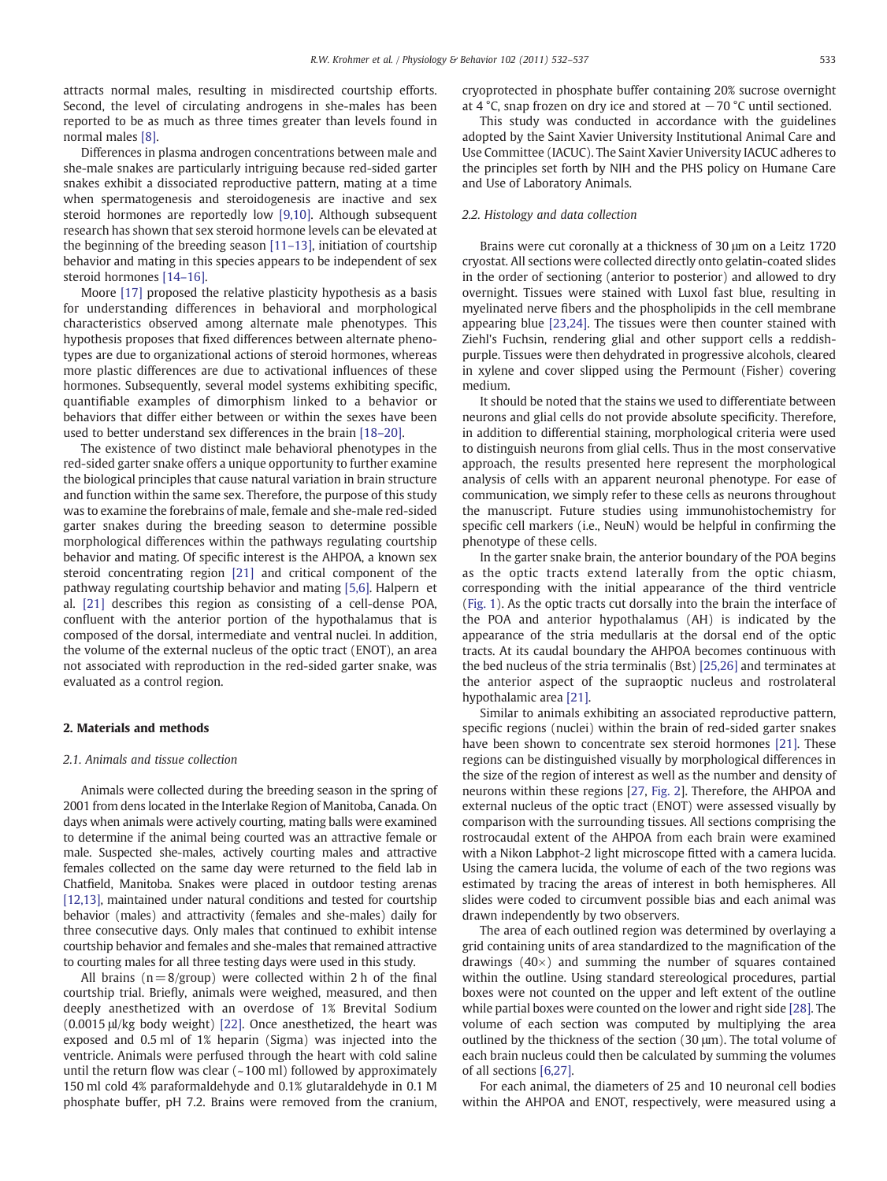attracts normal males, resulting in misdirected courtship efforts. Second, the level of circulating androgens in she-males has been reported to be as much as three times greater than levels found in normal males [\[8\].](#page-4-0)

Differences in plasma androgen concentrations between male and she-male snakes are particularly intriguing because red-sided garter snakes exhibit a dissociated reproductive pattern, mating at a time when spermatogenesis and steroidogenesis are inactive and sex steroid hormones are reportedly low [\[9,10\].](#page-4-0) Although subsequent research has shown that sex steroid hormone levels can be elevated at the beginning of the breeding season [11–[13\],](#page-4-0) initiation of courtship behavior and mating in this species appears to be independent of sex steroid hormones [14–[16\].](#page-4-0)

Moore [\[17\]](#page-4-0) proposed the relative plasticity hypothesis as a basis for understanding differences in behavioral and morphological characteristics observed among alternate male phenotypes. This hypothesis proposes that fixed differences between alternate phenotypes are due to organizational actions of steroid hormones, whereas more plastic differences are due to activational influences of these hormones. Subsequently, several model systems exhibiting specific, quantifiable examples of dimorphism linked to a behavior or behaviors that differ either between or within the sexes have been used to better understand sex differences in the brain [18–[20\]](#page-4-0).

The existence of two distinct male behavioral phenotypes in the red-sided garter snake offers a unique opportunity to further examine the biological principles that cause natural variation in brain structure and function within the same sex. Therefore, the purpose of this study was to examine the forebrains of male, female and she-male red-sided garter snakes during the breeding season to determine possible morphological differences within the pathways regulating courtship behavior and mating. Of specific interest is the AHPOA, a known sex steroid concentrating region [\[21\]](#page-4-0) and critical component of the pathway regulating courtship behavior and mating [\[5,6\]](#page-4-0). Halpern et al. [\[21\]](#page-4-0) describes this region as consisting of a cell-dense POA, confluent with the anterior portion of the hypothalamus that is composed of the dorsal, intermediate and ventral nuclei. In addition, the volume of the external nucleus of the optic tract (ENOT), an area not associated with reproduction in the red-sided garter snake, was evaluated as a control region.

#### 2. Materials and methods

#### 2.1. Animals and tissue collection

Animals were collected during the breeding season in the spring of 2001 from dens located in the Interlake Region of Manitoba, Canada. On days when animals were actively courting, mating balls were examined to determine if the animal being courted was an attractive female or male. Suspected she-males, actively courting males and attractive females collected on the same day were returned to the field lab in Chatfield, Manitoba. Snakes were placed in outdoor testing arenas [\[12,13\]](#page-4-0), maintained under natural conditions and tested for courtship behavior (males) and attractivity (females and she-males) daily for three consecutive days. Only males that continued to exhibit intense courtship behavior and females and she-males that remained attractive to courting males for all three testing days were used in this study.

All brains  $(n=8/\text{group})$  were collected within 2 h of the final courtship trial. Briefly, animals were weighed, measured, and then deeply anesthetized with an overdose of 1% Brevital Sodium (0.0015 μl/kg body weight) [\[22\].](#page-4-0) Once anesthetized, the heart was exposed and 0.5 ml of 1% heparin (Sigma) was injected into the ventricle. Animals were perfused through the heart with cold saline until the return flow was clear  $(-100 \text{ ml})$  followed by approximately 150 ml cold 4% paraformaldehyde and 0.1% glutaraldehyde in 0.1 M phosphate buffer, pH 7.2. Brains were removed from the cranium, cryoprotected in phosphate buffer containing 20% sucrose overnight at 4 °C, snap frozen on dry ice and stored at  $-70$  °C until sectioned.

This study was conducted in accordance with the guidelines adopted by the Saint Xavier University Institutional Animal Care and Use Committee (IACUC). The Saint Xavier University IACUC adheres to the principles set forth by NIH and the PHS policy on Humane Care and Use of Laboratory Animals.

#### 2.2. Histology and data collection

Brains were cut coronally at a thickness of 30 μm on a Leitz 1720 cryostat. All sections were collected directly onto gelatin-coated slides in the order of sectioning (anterior to posterior) and allowed to dry overnight. Tissues were stained with Luxol fast blue, resulting in myelinated nerve fibers and the phospholipids in the cell membrane appearing blue [\[23,24\]](#page-4-0). The tissues were then counter stained with Ziehl's Fuchsin, rendering glial and other support cells a reddishpurple. Tissues were then dehydrated in progressive alcohols, cleared in xylene and cover slipped using the Permount (Fisher) covering medium.

It should be noted that the stains we used to differentiate between neurons and glial cells do not provide absolute specificity. Therefore, in addition to differential staining, morphological criteria were used to distinguish neurons from glial cells. Thus in the most conservative approach, the results presented here represent the morphological analysis of cells with an apparent neuronal phenotype. For ease of communication, we simply refer to these cells as neurons throughout the manuscript. Future studies using immunohistochemistry for specific cell markers (i.e., NeuN) would be helpful in confirming the phenotype of these cells.

In the garter snake brain, the anterior boundary of the POA begins as the optic tracts extend laterally from the optic chiasm, corresponding with the initial appearance of the third ventricle [\(Fig. 1](#page-2-0)). As the optic tracts cut dorsally into the brain the interface of the POA and anterior hypothalamus (AH) is indicated by the appearance of the stria medullaris at the dorsal end of the optic tracts. At its caudal boundary the AHPOA becomes continuous with the bed nucleus of the stria terminalis (Bst) [\[25,26\]](#page-4-0) and terminates at the anterior aspect of the supraoptic nucleus and rostrolateral hypothalamic area [\[21\]](#page-4-0).

Similar to animals exhibiting an associated reproductive pattern, specific regions (nuclei) within the brain of red-sided garter snakes have been shown to concentrate sex steroid hormones [\[21\]](#page-4-0). These regions can be distinguished visually by morphological differences in the size of the region of interest as well as the number and density of neurons within these regions [[27](#page-5-0), [Fig. 2](#page-3-0)]. Therefore, the AHPOA and external nucleus of the optic tract (ENOT) were assessed visually by comparison with the surrounding tissues. All sections comprising the rostrocaudal extent of the AHPOA from each brain were examined with a Nikon Labphot-2 light microscope fitted with a camera lucida. Using the camera lucida, the volume of each of the two regions was estimated by tracing the areas of interest in both hemispheres. All slides were coded to circumvent possible bias and each animal was drawn independently by two observers.

The area of each outlined region was determined by overlaying a grid containing units of area standardized to the magnification of the drawings  $(40\times)$  and summing the number of squares contained within the outline. Using standard stereological procedures, partial boxes were not counted on the upper and left extent of the outline while partial boxes were counted on the lower and right side [\[28\].](#page-5-0) The volume of each section was computed by multiplying the area outlined by the thickness of the section (30 μm). The total volume of each brain nucleus could then be calculated by summing the volumes of all sections [\[6,27\].](#page-4-0)

For each animal, the diameters of 25 and 10 neuronal cell bodies within the AHPOA and ENOT, respectively, were measured using a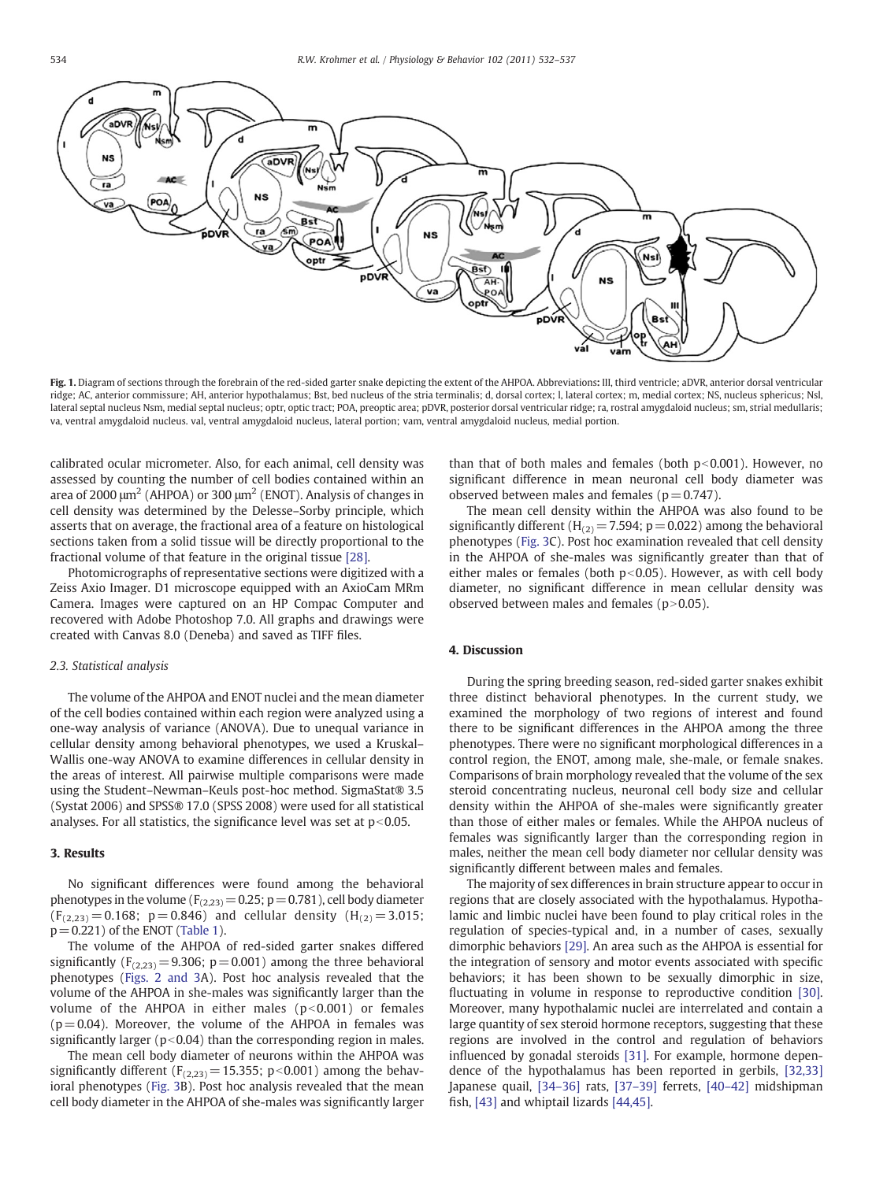<span id="page-2-0"></span>

Fig. 1. Diagram of sections through the forebrain of the red-sided garter snake depicting the extent of the AHPOA. Abbreviations: III, third ventricle; aDVR, anterior dorsal ventricular ridge; AC, anterior commissure; AH, anterior hypothalamus; Bst, bed nucleus of the stria terminalis; d, dorsal cortex; l, lateral cortex; m, medial cortex; NS, nucleus sphericus; Nsl, lateral septal nucleus Nsm, medial septal nucleus; optr, optic tract; POA, preoptic area; pDVR, posterior dorsal ventricular ridge; ra, rostral amygdaloid nucleus; sm, strial medullaris; va, ventral amygdaloid nucleus. val, ventral amygdaloid nucleus, lateral portion; vam, ventral amygdaloid nucleus, medial portion.

calibrated ocular micrometer. Also, for each animal, cell density was assessed by counting the number of cell bodies contained within an area of 2000  $\mu$ m<sup>2</sup> (AHPOA) or 300  $\mu$ m<sup>2</sup> (ENOT). Analysis of changes in cell density was determined by the Delesse–Sorby principle, which asserts that on average, the fractional area of a feature on histological sections taken from a solid tissue will be directly proportional to the fractional volume of that feature in the original tissue [\[28\].](#page-5-0)

Photomicrographs of representative sections were digitized with a Zeiss Axio Imager. D1 microscope equipped with an AxioCam MRm Camera. Images were captured on an HP Compac Computer and recovered with Adobe Photoshop 7.0. All graphs and drawings were created with Canvas 8.0 (Deneba) and saved as TIFF files.

#### 2.3. Statistical analysis

The volume of the AHPOA and ENOT nuclei and the mean diameter of the cell bodies contained within each region were analyzed using a one-way analysis of variance (ANOVA). Due to unequal variance in cellular density among behavioral phenotypes, we used a Kruskal– Wallis one-way ANOVA to examine differences in cellular density in the areas of interest. All pairwise multiple comparisons were made using the Student–Newman–Keuls post-hoc method. SigmaStat® 3.5 (Systat 2006) and SPSS® 17.0 (SPSS 2008) were used for all statistical analyses. For all statistics, the significance level was set at  $p<0.05$ .

#### 3. Results

No significant differences were found among the behavioral phenotypes in the volume ( $F<sub>(2,23)</sub> = 0.25$ ; p = 0.781), cell body diameter  $(F<sub>(2,23)</sub> = 0.168; p = 0.846)$  and cellular density  $(H<sub>(2)</sub> = 3.015;$  $p=0.221$ ) of the ENOT [\(Table 1\)](#page-3-0).

The volume of the AHPOA of red-sided garter snakes differed significantly ( $F_{(2,23)} = 9.306$ ; p= 0.001) among the three behavioral phenotypes ([Figs. 2 and 3A](#page-3-0)). Post hoc analysis revealed that the volume of the AHPOA in she-males was significantly larger than the volume of the AHPOA in either males  $(p<0.001)$  or females  $(p= 0.04)$ . Moreover, the volume of the AHPOA in females was significantly larger ( $p<0.04$ ) than the corresponding region in males.

The mean cell body diameter of neurons within the AHPOA was significantly different ( $F_{(2,23)} = 15.355$ ; p<0.001) among the behavioral phenotypes [\(Fig. 3](#page-3-0)B). Post hoc analysis revealed that the mean cell body diameter in the AHPOA of she-males was significantly larger than that of both males and females (both  $p<0.001$ ). However, no significant difference in mean neuronal cell body diameter was observed between males and females ( $p = 0.747$ ).

The mean cell density within the AHPOA was also found to be significantly different ( $H_{(2)} = 7.594$ ; p= 0.022) among the behavioral phenotypes ([Fig. 3](#page-3-0)C). Post hoc examination revealed that cell density in the AHPOA of she-males was significantly greater than that of either males or females (both  $p<0.05$ ). However, as with cell body diameter, no significant difference in mean cellular density was observed between males and females  $(p>0.05)$ .

### 4. Discussion

During the spring breeding season, red-sided garter snakes exhibit three distinct behavioral phenotypes. In the current study, we examined the morphology of two regions of interest and found there to be significant differences in the AHPOA among the three phenotypes. There were no significant morphological differences in a control region, the ENOT, among male, she-male, or female snakes. Comparisons of brain morphology revealed that the volume of the sex steroid concentrating nucleus, neuronal cell body size and cellular density within the AHPOA of she-males were significantly greater than those of either males or females. While the AHPOA nucleus of females was significantly larger than the corresponding region in males, neither the mean cell body diameter nor cellular density was significantly different between males and females.

The majority of sex differences in brain structure appear to occur in regions that are closely associated with the hypothalamus. Hypothalamic and limbic nuclei have been found to play critical roles in the regulation of species-typical and, in a number of cases, sexually dimorphic behaviors [\[29\]](#page-5-0). An area such as the AHPOA is essential for the integration of sensory and motor events associated with specific behaviors; it has been shown to be sexually dimorphic in size, fluctuating in volume in response to reproductive condition [\[30\].](#page-5-0) Moreover, many hypothalamic nuclei are interrelated and contain a large quantity of sex steroid hormone receptors, suggesting that these regions are involved in the control and regulation of behaviors influenced by gonadal steroids [\[31\]](#page-5-0). For example, hormone dependence of the hypothalamus has been reported in gerbils, [\[32,33\]](#page-5-0) Japanese quail, [\[34](#page-5-0)–36] rats, [\[37](#page-5-0)–39] ferrets, [40–[42\]](#page-5-0) midshipman fish, [\[43\]](#page-5-0) and whiptail lizards [\[44,45\].](#page-5-0)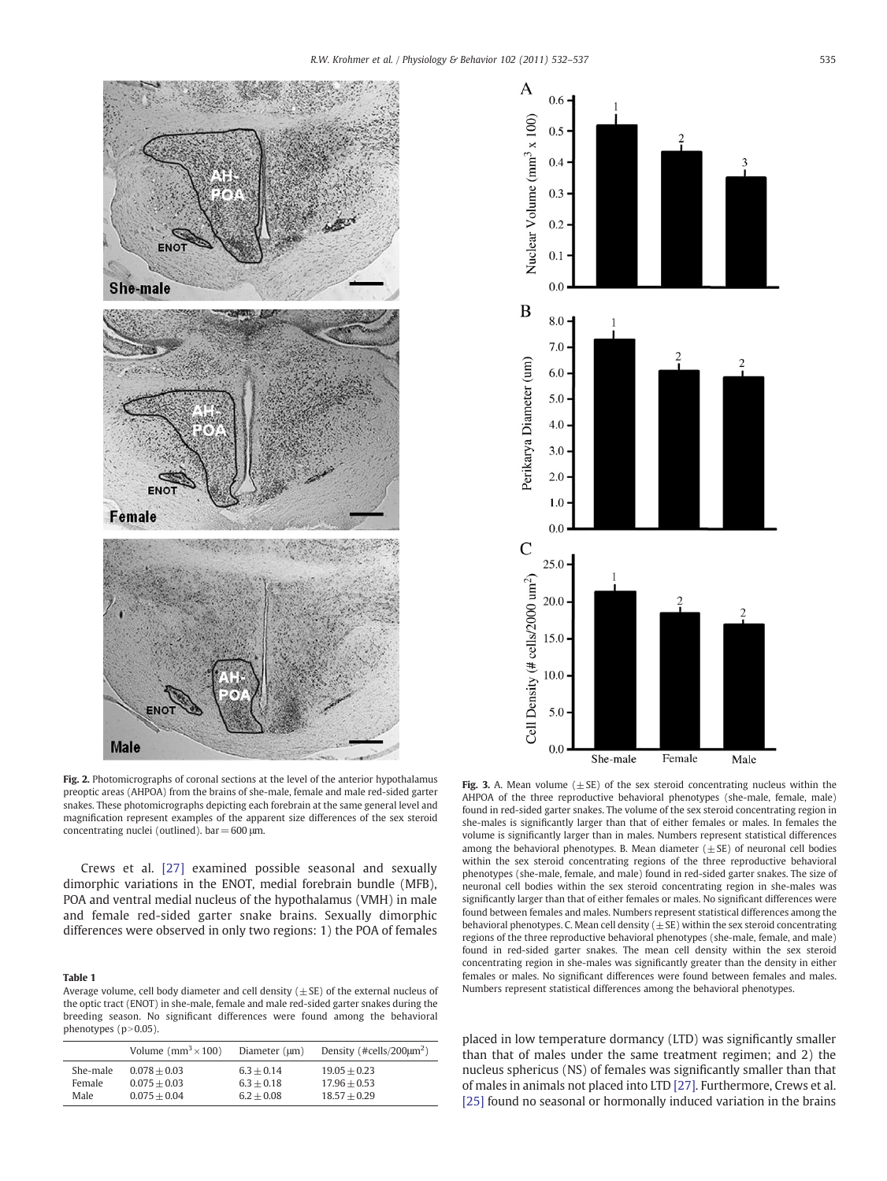<span id="page-3-0"></span>

Fig. 2. Photomicrographs of coronal sections at the level of the anterior hypothalamus preoptic areas (AHPOA) from the brains of she-male, female and male red-sided garter snakes. These photomicrographs depicting each forebrain at the same general level and magnification represent examples of the apparent size differences of the sex steroid concentrating nuclei (outlined). bar =  $600 \mu m$ .

Crews et al. [\[27\]](#page-5-0) examined possible seasonal and sexually dimorphic variations in the ENOT, medial forebrain bundle (MFB), POA and ventral medial nucleus of the hypothalamus (VMH) in male and female red-sided garter snake brains. Sexually dimorphic differences were observed in only two regions: 1) the POA of females

#### Table 1

Average volume, cell body diameter and cell density ( $\pm$  SE) of the external nucleus of the optic tract (ENOT) in she-male, female and male red-sided garter snakes during the breeding season. No significant differences were found among the behavioral phenotypes  $(p>0.05)$ .

|          | Volume ( $mm^3 \times 100$ ) | Diameter (µm) | Density (#cells/200 $\mu$ m <sup>2</sup> ) |
|----------|------------------------------|---------------|--------------------------------------------|
| She-male | $0.078 + 0.03$               | $6.3 + 0.14$  | $19.05 + 0.23$                             |
| Female   | $0.075 + 0.03$               | $6.3 + 0.18$  | $17.96 + 0.53$                             |
| Male     | $0.075 + 0.04$               | $6.2 + 0.08$  | $18.57 + 0.29$                             |



Fig. 3. A. Mean volume ( $\pm$  SE) of the sex steroid concentrating nucleus within the AHPOA of the three reproductive behavioral phenotypes (she-male, female, male) found in red-sided garter snakes. The volume of the sex steroid concentrating region in she-males is significantly larger than that of either females or males. In females the volume is significantly larger than in males. Numbers represent statistical differences among the behavioral phenotypes. B. Mean diameter  $(\pm S E)$  of neuronal cell bodies within the sex steroid concentrating regions of the three reproductive behavioral phenotypes (she-male, female, and male) found in red-sided garter snakes. The size of neuronal cell bodies within the sex steroid concentrating region in she-males was significantly larger than that of either females or males. No significant differences were found between females and males. Numbers represent statistical differences among the behavioral phenotypes. C. Mean cell density  $(\pm S\bar{E})$  within the sex steroid concentrating regions of the three reproductive behavioral phenotypes (she-male, female, and male) found in red-sided garter snakes. The mean cell density within the sex steroid concentrating region in she-males was significantly greater than the density in either females or males. No significant differences were found between females and males. Numbers represent statistical differences among the behavioral phenotypes.

placed in low temperature dormancy (LTD) was significantly smaller than that of males under the same treatment regimen; and 2) the nucleus sphericus (NS) of females was significantly smaller than that of males in animals not placed into LTD [\[27\]](#page-5-0). Furthermore, Crews et al. [\[25\]](#page-4-0) found no seasonal or hormonally induced variation in the brains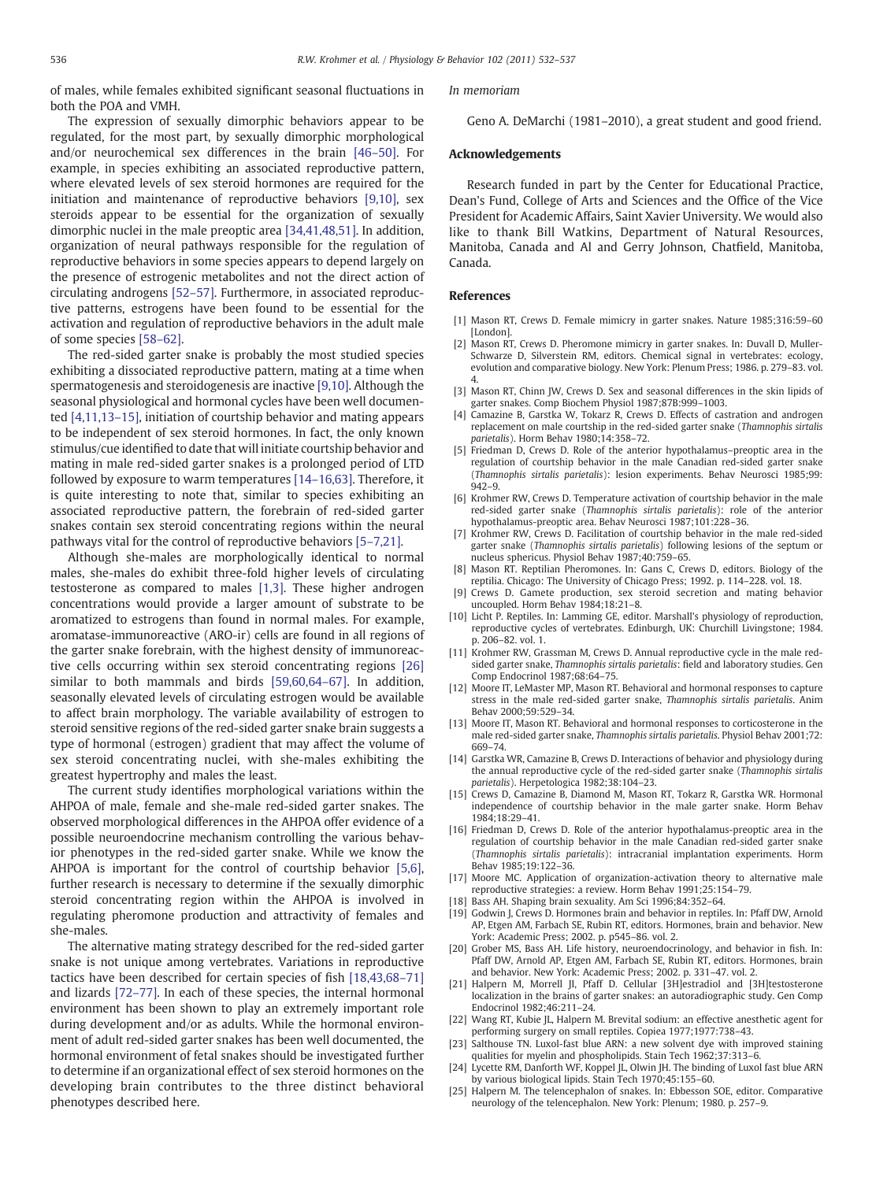<span id="page-4-0"></span>of males, while females exhibited significant seasonal fluctuations in both the POA and VMH.

The expression of sexually dimorphic behaviors appear to be regulated, for the most part, by sexually dimorphic morphological and/or neurochemical sex differences in the brain [46–[50\]](#page-5-0). For example, in species exhibiting an associated reproductive pattern, where elevated levels of sex steroid hormones are required for the initiation and maintenance of reproductive behaviors [9,10], sex steroids appear to be essential for the organization of sexually dimorphic nuclei in the male preoptic area [\[34,41,48,51\]](#page-5-0). In addition, organization of neural pathways responsible for the regulation of reproductive behaviors in some species appears to depend largely on the presence of estrogenic metabolites and not the direct action of circulating androgens [52–[57\].](#page-5-0) Furthermore, in associated reproductive patterns, estrogens have been found to be essential for the activation and regulation of reproductive behaviors in the adult male of some species [58–[62\].](#page-5-0)

The red-sided garter snake is probably the most studied species exhibiting a dissociated reproductive pattern, mating at a time when spermatogenesis and steroidogenesis are inactive [9,10]. Although the seasonal physiological and hormonal cycles have been well documented [4,11,13–15], initiation of courtship behavior and mating appears to be independent of sex steroid hormones. In fact, the only known stimulus/cue identified to date that will initiate courtship behavior and mating in male red-sided garter snakes is a prolonged period of LTD followed by exposure to warm temperatures [14–16,63]. Therefore, it is quite interesting to note that, similar to species exhibiting an associated reproductive pattern, the forebrain of red-sided garter snakes contain sex steroid concentrating regions within the neural pathways vital for the control of reproductive behaviors [5–7,21].

Although she-males are morphologically identical to normal males, she-males do exhibit three-fold higher levels of circulating testosterone as compared to males [1,3]. These higher androgen concentrations would provide a larger amount of substrate to be aromatized to estrogens than found in normal males. For example, aromatase-immunoreactive (ARO-ir) cells are found in all regions of the garter snake forebrain, with the highest density of immunoreactive cells occurring within sex steroid concentrating regions [\[26\]](#page-5-0) similar to both mammals and birds [\[59,60,64](#page-5-0)–67]. In addition, seasonally elevated levels of circulating estrogen would be available to affect brain morphology. The variable availability of estrogen to steroid sensitive regions of the red-sided garter snake brain suggests a type of hormonal (estrogen) gradient that may affect the volume of sex steroid concentrating nuclei, with she-males exhibiting the greatest hypertrophy and males the least.

The current study identifies morphological variations within the AHPOA of male, female and she-male red-sided garter snakes. The observed morphological differences in the AHPOA offer evidence of a possible neuroendocrine mechanism controlling the various behavior phenotypes in the red-sided garter snake. While we know the AHPOA is important for the control of courtship behavior [5,6], further research is necessary to determine if the sexually dimorphic steroid concentrating region within the AHPOA is involved in regulating pheromone production and attractivity of females and she-males.

The alternative mating strategy described for the red-sided garter snake is not unique among vertebrates. Variations in reproductive tactics have been described for certain species of fish [18,43,68–71] and lizards [72–[77\].](#page-5-0) In each of these species, the internal hormonal environment has been shown to play an extremely important role during development and/or as adults. While the hormonal environment of adult red-sided garter snakes has been well documented, the hormonal environment of fetal snakes should be investigated further to determine if an organizational effect of sex steroid hormones on the developing brain contributes to the three distinct behavioral phenotypes described here.

In memoriam

Geno A. DeMarchi (1981–2010), a great student and good friend.

#### Acknowledgements

Research funded in part by the Center for Educational Practice, Dean's Fund, College of Arts and Sciences and the Office of the Vice President for Academic Affairs, Saint Xavier University. We would also like to thank Bill Watkins, Department of Natural Resources, Manitoba, Canada and Al and Gerry Johnson, Chatfield, Manitoba, Canada.

#### References

- [1] Mason RT, Crews D. Female mimicry in garter snakes. Nature 1985;316:59–60 [London]
- [2] Mason RT, Crews D. Pheromone mimicry in garter snakes. In: Duvall D, Muller-Schwarze D, Silverstein RM, editors. Chemical signal in vertebrates: ecology, evolution and comparative biology. New York: Plenum Press; 1986. p. 279–83. vol. 4.
- [3] Mason RT, Chinn JW, Crews D. Sex and seasonal differences in the skin lipids of garter snakes. Comp Biochem Physiol 1987;87B:999–1003.
- [4] Camazine B, Garstka W, Tokarz R, Crews D. Effects of castration and androgen replacement on male courtship in the red-sided garter snake (Thamnophis sirtalis parietalis). Horm Behav 1980;14:358–72.
- Friedman D, Crews D. Role of the anterior hypothalamus–preoptic area in the regulation of courtship behavior in the male Canadian red-sided garter snake (Thamnophis sirtalis parietalis): lesion experiments. Behav Neurosci 1985;99:  $942 - 9$
- [6] Krohmer RW, Crews D. Temperature activation of courtship behavior in the male red-sided garter snake (Thamnophis sirtalis parietalis): role of the anterior hypothalamus-preoptic area. Behav Neurosci 1987;101:228–36.
- Krohmer RW, Crews D. Facilitation of courtship behavior in the male red-sided garter snake (Thamnophis sirtalis parietalis) following lesions of the septum or nucleus sphericus. Physiol Behav 1987;40:759–65.
- [8] Mason RT. Reptilian Pheromones. In: Gans C, Crews D, editors. Biology of the reptilia. Chicago: The University of Chicago Press; 1992. p. 114–228. vol. 18.
- Crews D. Gamete production, sex steroid secretion and mating behavior uncoupled. Horm Behav 1984;18:21–8.
- [10] Licht P. Reptiles. In: Lamming GE, editor. Marshall's physiology of reproduction, reproductive cycles of vertebrates. Edinburgh, UK: Churchill Livingstone; 1984. p. 206–82. vol. 1.
- [11] Krohmer RW, Grassman M, Crews D. Annual reproductive cycle in the male redsided garter snake, Thamnophis sirtalis parietalis: field and laboratory studies. Gen Comp Endocrinol 1987;68:64–75.
- [12] Moore IT, LeMaster MP, Mason RT. Behavioral and hormonal responses to capture stress in the male red-sided garter snake, Thamnophis sirtalis parietalis. Anim Behav 2000;59:529–34.
- [13] Moore IT, Mason RT. Behavioral and hormonal responses to corticosterone in the male red-sided garter snake, Thamnophis sirtalis parietalis. Physiol Behav 2001;72: 669–74.
- [14] Garstka WR, Camazine B, Crews D. Interactions of behavior and physiology during the annual reproductive cycle of the red-sided garter snake (Thamnophis sirtalis parietalis). Herpetologica 1982;38:104–23.
- [15] Crews D, Camazine B, Diamond M, Mason RT, Tokarz R, Garstka WR. Hormonal independence of courtship behavior in the male garter snake. Horm Behav 1984;18:29–41.
- [16] Friedman D, Crews D. Role of the anterior hypothalamus-preoptic area in the regulation of courtship behavior in the male Canadian red-sided garter snake (Thamnophis sirtalis parietalis): intracranial implantation experiments. Horm Behav 1985;19:122–36.
- [17] Moore MC. Application of organization-activation theory to alternative male reproductive strategies: a review. Horm Behav 1991;25:154–79.
- [18] Bass AH. Shaping brain sexuality. Am Sci 1996;84:352–64.
- [19] Godwin J, Crews D. Hormones brain and behavior in reptiles. In: Pfaff DW, Arnold AP, Etgen AM, Farbach SE, Rubin RT, editors. Hormones, brain and behavior. New York: Academic Press; 2002. p. p545–86. vol. 2.
- [20] Grober MS, Bass AH. Life history, neuroendocrinology, and behavior in fish. In: Pfaff DW, Arnold AP, Etgen AM, Farbach SE, Rubin RT, editors. Hormones, brain and behavior. New York: Academic Press; 2002. p. 331–47. vol. 2.
- [21] Halpern M, Morrell JI, Pfaff D. Cellular [3H]estradiol and [3H]testosterone localization in the brains of garter snakes: an autoradiographic study. Gen Comp Endocrinol 1982;46:211–24.
- [22] Wang RT, Kubie JL, Halpern M. Brevital sodium: an effective anesthetic agent for performing surgery on small reptiles. Copiea 1977;1977:738–43.
- [23] Salthouse TN. Luxol-fast blue ARN: a new solvent dye with improved staining qualities for myelin and phospholipids. Stain Tech 1962;37:313–6.
- [24] Lycette RM, Danforth WF, Koppel JL, Olwin JH. The binding of Luxol fast blue ARN by various biological lipids. Stain Tech 1970;45:155–60.
- [25] Halpern M. The telencephalon of snakes. In: Ebbesson SOE, editor. Comparative neurology of the telencephalon. New York: Plenum; 1980. p. 257–9.